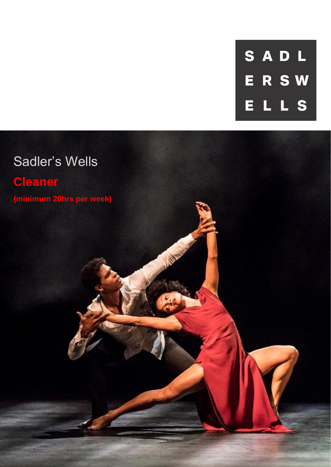SADL **ERSW** LLS E.

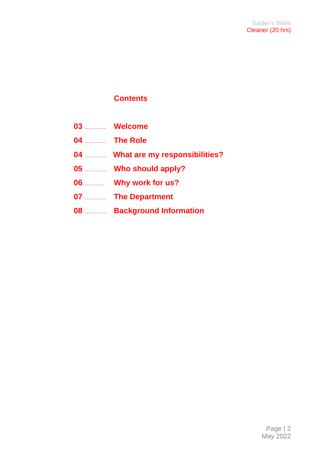### **Contents**

- **03** ……….. **Welcome**
- **04** ……….. **The Role**
- **04** ……….. **What are my responsibilities?**
- **05** ……….. **Who should apply?**
- **06**……….. **Why work for us?**
- **07** ……….. **The Department**
- **08** ……….. **Background Information**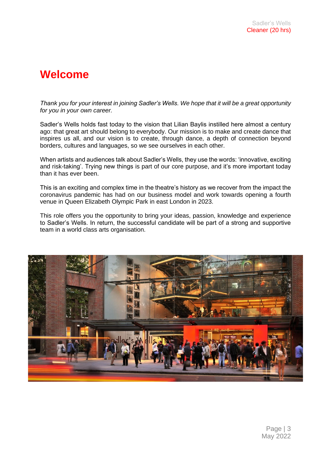### **Welcome**

*Thank you for your interest in joining Sadler's Wells. We hope that it will be a great opportunity for you in your own career.*

Sadler's Wells holds fast today to the vision that Lilian Baylis instilled here almost a century ago: that great art should belong to everybody. Our mission is to make and create dance that inspires us all, and our vision is to create, through dance, a depth of connection beyond borders, cultures and languages, so we see ourselves in each other.

When artists and audiences talk about Sadler's Wells, they use the words: 'innovative, exciting and risk-taking'. Trying new things is part of our core purpose, and it's more important today than it has ever been.

This is an exciting and complex time in the theatre's history as we recover from the impact the coronavirus pandemic has had on our business model and work towards opening a fourth venue in Queen Elizabeth Olympic Park in east London in 2023.

This role offers you the opportunity to bring your ideas, passion, knowledge and experience to Sadler's Wells. In return, the successful candidate will be part of a strong and supportive team in a world class arts organisation.

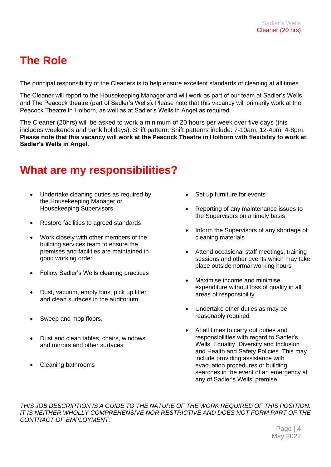## **The Role**

The principal responsibility of the Cleaners is to help ensure excellent standards of cleaning at all times.

The Cleaner will report to the Housekeeping Manager and will work as part of our team at Sadler's Wells and The Peacock theatre (part of Sadler's Wells). Please note that this vacancy will primarily work at the Peacock Theatre in Holborn, as well as at Sadler's Wells in Angel as required.

The Cleaner (20hrs) will be asked to work a minimum of 20 hours per week over five days (this includes weekends and bank holidays). Shift pattern: Shift patterns include: 7-10am, 12-4pm, 4-8pm. **Please note that this vacancy will work at the Peacock Theatre in Holborn with flexibility to work at Sadler's Wells in Angel.** 

### **What are my responsibilities?**

- Undertake cleaning duties as required by the Housekeeping Manager or Housekeeping Supervisors
- Restore facilities to agreed standards
- Work closely with other members of the building services team to ensure the premises and facilities are maintained in good working order
- Follow Sadler's Wells cleaning practices
- Dust, vacuum, empty bins, pick up litter and clean surfaces in the auditorium
- Sweep and mop floors,
- Dust and clean tables, chairs, windows and mirrors and other surfaces
- Cleaning bathrooms
- Set up furniture for events
- Reporting of any maintenance issues to the Supervisors on a timely basis
- Inform the Supervisors of any shortage of cleaning materials
- Attend occasional staff meetings, training sessions and other events which may take place outside normal working hours
- Maximise income and minimise expenditure without loss of quality in all areas of responsibility.
- Undertake other duties as may be reasonably required
- At all times to carry out duties and responsibilities with regard to Sadler's Wells' Equality, Diversity and Inclusion and Health and Safety Policies. This may include providing assistance with evacuation procedures or building searches in the event of an emergency at any of Sadler's Wells' premise

*THIS JOB DESCRIPTION IS A GUIDE TO THE NATURE OF THE WORK REQUIRED OF THIS POSITION. IT IS NEITHER WHOLLY COMPREHENSIVE NOR RESTRICTIVE AND DOES NOT FORM PART OF THE CONTRACT OF EMPLOYMENT.* 

> Page | 4 May 2022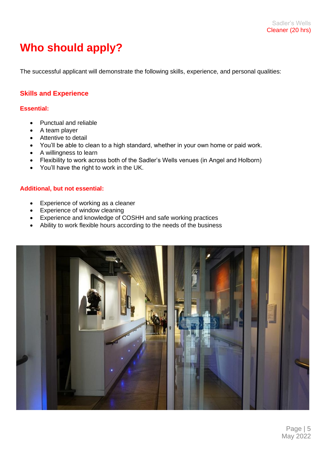# **Who should apply?**

The successful applicant will demonstrate the following skills, experience, and personal qualities:

#### **Skills and Experience**

#### **Essential:**

- Punctual and reliable
- A team player
- Attentive to detail
- You'll be able to clean to a high standard, whether in your own home or paid work.
- A willingness to learn
- Flexibility to work across both of the Sadler's Wells venues (in Angel and Holborn)
- You'll have the right to work in the UK.

#### **Additional, but not essential:**

- Experience of working as a cleaner
- Experience of window cleaning
- Experience and knowledge of COSHH and safe working practices
- Ability to work flexible hours according to the needs of the business



Page | 5 May 2022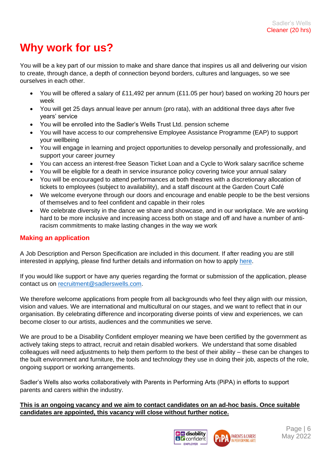## **Why work for us?**

You will be a key part of our mission to make and share dance that inspires us all and delivering our vision to create, through dance, a depth of connection beyond borders, cultures and languages, so we see ourselves in each other.

- You will be offered a salary of £11,492 per annum (£11.05 per hour) based on working 20 hours per week
- You will get 25 days annual leave per annum (pro rata), with an additional three days after five years' service
- You will be enrolled into the Sadler's Wells Trust Ltd. pension scheme
- You will have access to our comprehensive Employee Assistance Programme (EAP) to support your wellbeing
- You will engage in learning and project opportunities to develop personally and professionally, and support your career journey
- You can access an interest-free Season Ticket Loan and a Cycle to Work salary sacrifice scheme
- You will be eligible for a death in service insurance policy covering twice your annual salary
- You will be encouraged to attend performances at both theatres with a discretionary allocation of tickets to employees (subject to availability), and a staff discount at the Garden Court Café
- We welcome everyone through our doors and encourage and enable people to be the best versions of themselves and to feel confident and capable in their roles
- We celebrate diversity in the dance we share and showcase, and in our workplace. We are working hard to be more inclusive and increasing access both on stage and off and have a number of antiracism commitments to make lasting changes in the way we work

#### **Making an application**

A Job Description and Person Specification are included in this document. If after reading you are still interested in applying, please find further details and information on how to apply [here.](https://sadlerswells.engageats.co.uk/ApplicationForm.aspx?enc=mEgrBL4XQK0+ld8aNkwYmKQZA4dYHjepvqr4jgYLgCCwMK6yYN8ZYbGXZVhtGvgxHn2dowzNBnyfTVTWVRERLVm+HRW40gt2VBYb5CfkjLGIE2mDgkKYC+qLZQ4260CpQVAYlVOrOtgALJvrqNWfQQ==)

If you would like support or have any queries regarding the format or submission of the application, please contact us on [recruitment@sadlerswells.com.](mailto:recruitment@sadlerswells.com)

We therefore welcome applications from people from all backgrounds who feel they align with our mission, vision and values. We are international and multicultural on our stages, and we want to reflect that in our organisation. By celebrating difference and incorporating diverse points of view and experiences, we can become closer to our artists, audiences and the communities we serve.

We are proud to be a Disability Confident employer meaning we have been certified by the government as actively taking steps to attract, recruit and retain disabled workers. We understand that some disabled colleagues will need adjustments to help them perform to the best of their ability – these can be changes to the built environment and furniture, the tools and technology they use in doing their job, aspects of the role, ongoing support or working arrangements.

Sadler's Wells also works collaboratively with Parents in Performing Arts (PiPA) in efforts to support parents and carers within the industry.

#### **This is an ongoing vacancy and we aim to contact candidates on an ad-hoc basis. Once suitable candidates are appointed, this vacancy will close without further notice.**

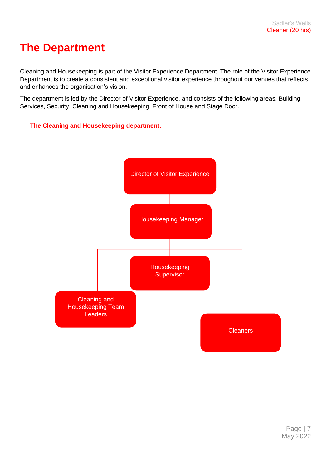### **The Department**

Cleaning and Housekeeping is part of the Visitor Experience Department. The role of the Visitor Experience Department is to create a consistent and exceptional visitor experience throughout our venues that reflects and enhances the organisation's vision.

The department is led by the Director of Visitor Experience, and consists of the following areas, Building Services, Security, Cleaning and Housekeeping, Front of House and Stage Door.